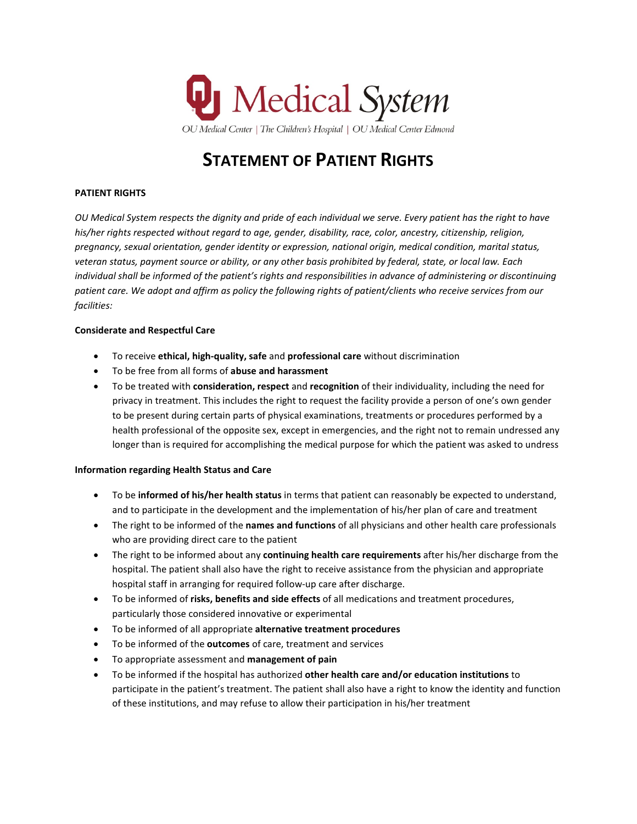

# **STATEMENT OF PATIENT RIGHTS**

# **PATIENT RIGHTS**

*OU Medical System respects the dignity and pride of each individual we serve. Every patient has the right to have his/her rights respected without regard to age, gender, disability, race, color, ancestry, citizenship, religion, pregnancy, sexual orientation, gender identity or expression, national origin, medical condition, marital status, veteran status, payment source or ability, or any other basis prohibited by federal, state, or local law. Each individual shall be informed of the patient's rights and responsibilities in advance of administering or discontinuing patient care. We adopt and affirm as policy the following rights of patient/clients who receive services from our facilities:*

#### **Considerate and Respectful Care**

- To receive **ethical, high-quality, safe** and **professional care** without discrimination
- To be free from all forms of **abuse and harassment**
- To be treated with **consideration, respect** and **recognition** of their individuality, including the need for privacy in treatment. This includes the right to request the facility provide a person of one's own gender to be present during certain parts of physical examinations, treatments or procedures performed by a health professional of the opposite sex, except in emergencies, and the right not to remain undressed any longer than is required for accomplishing the medical purpose for which the patient was asked to undress

#### **Information regarding Health Status and Care**

- To be **informed of his/her health status** in terms that patient can reasonably be expected to understand, and to participate in the development and the implementation of his/her plan of care and treatment
- The right to be informed of the **names and functions** of all physicians and other health care professionals who are providing direct care to the patient
- The right to be informed about any **continuing health care requirements** after his/her discharge from the hospital. The patient shall also have the right to receive assistance from the physician and appropriate hospital staff in arranging for required follow-up care after discharge.
- To be informed of **risks, benefits and side effects** of all medications and treatment procedures, particularly those considered innovative or experimental
- To be informed of all appropriate **alternative treatment procedures**
- To be informed of the **outcomes** of care, treatment and services
- To appropriate assessment and **management of pain**
- To be informed if the hospital has authorized **other health care and/or education institutions** to participate in the patient's treatment. The patient shall also have a right to know the identity and function of these institutions, and may refuse to allow their participation in his/her treatment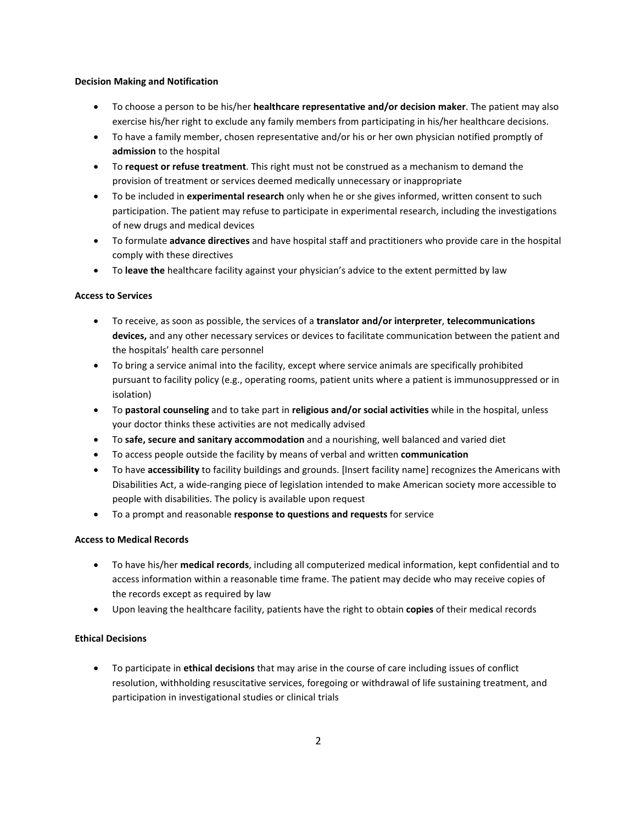#### **Decision Making and Notification**

- To choose a person to be his/her **healthcare representative and/or decision maker**. The patient may also exercise his/her right to exclude any family members from participating in his/her healthcare decisions.
- To have a family member, chosen representative and/or his or her own physician notified promptly of **admission** to the hospital
- To **request or refuse treatment**. This right must not be construed as a mechanism to demand the provision of treatment or services deemed medically unnecessary or inappropriate
- To be included in **experimental research** only when he or she gives informed, written consent to such participation. The patient may refuse to participate in experimental research, including the investigations of new drugs and medical devices
- To formulate **advance directives** and have hospital staff and practitioners who provide care in the hospital comply with these directives
- To **leave the** healthcare facility against your physician's advice to the extent permitted by law

#### **Access to Services**

- To receive, as soon as possible, the services of a **translator and/or interpreter**, **telecommunications devices,** and any other necessary services or devices to facilitate communication between the patient and the hospitals' health care personnel
- To bring a service animal into the facility, except where service animals are specifically prohibited pursuant to facility policy (e.g., operating rooms, patient units where a patient is immunosuppressed or in isolation)
- To **pastoral counseling** and to take part in **religious and/or social activities** while in the hospital, unless your doctor thinks these activities are not medically advised
- To **safe, secure and sanitary accommodation** and a nourishing, well balanced and varied diet
- To access people outside the facility by means of verbal and written **communication**
- To have **accessibility** to facility buildings and grounds. [Insert facility name] recognizes the Americans with Disabilities Act, a wide-ranging piece of legislation intended to make American society more accessible to people with disabilities. The policy is available upon request
- To a prompt and reasonable **response to questions and requests** for service

#### **Access to Medical Records**

- To have his/her **medical records**, including all computerized medical information, kept confidential and to access information within a reasonable time frame. The patient may decide who may receive copies of the records except as required by law
- Upon leaving the healthcare facility, patients have the right to obtain **copies** of their medical records

### **Ethical Decisions**

• To participate in **ethical decisions** that may arise in the course of care including issues of conflict resolution, withholding resuscitative services, foregoing or withdrawal of life sustaining treatment, and participation in investigational studies or clinical trials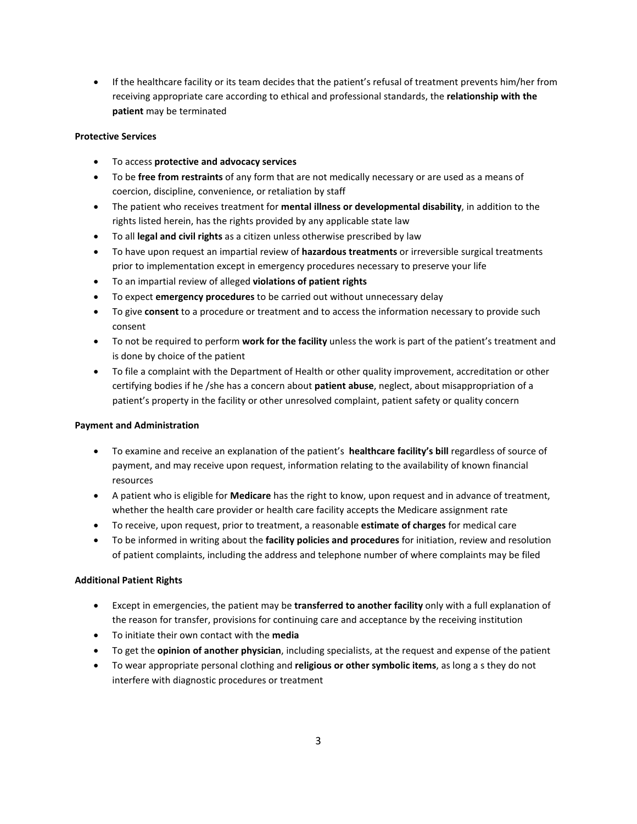• If the healthcare facility or its team decides that the patient's refusal of treatment prevents him/her from receiving appropriate care according to ethical and professional standards, the **relationship with the patient** may be terminated

## **Protective Services**

- To access **protective and advocacy services**
- To be **free from restraints** of any form that are not medically necessary or are used as a means of coercion, discipline, convenience, or retaliation by staff
- The patient who receives treatment for **mental illness or developmental disability**, in addition to the rights listed herein, has the rights provided by any applicable state law
- To all **legal and civil rights** as a citizen unless otherwise prescribed by law
- To have upon request an impartial review of **hazardous treatments** or irreversible surgical treatments prior to implementation except in emergency procedures necessary to preserve your life
- To an impartial review of alleged **violations of patient rights**
- To expect **emergency procedures** to be carried out without unnecessary delay
- To give **consent** to a procedure or treatment and to access the information necessary to provide such consent
- To not be required to perform **work for the facility** unless the work is part of the patient's treatment and is done by choice of the patient
- To file a complaint with the Department of Health or other quality improvement, accreditation or other certifying bodies if he /she has a concern about **patient abuse**, neglect, about misappropriation of a patient's property in the facility or other unresolved complaint, patient safety or quality concern

#### **Payment and Administration**

- To examine and receive an explanation of the patient's **healthcare facility's bill** regardless of source of payment, and may receive upon request, information relating to the availability of known financial resources
- A patient who is eligible for **Medicare** has the right to know, upon request and in advance of treatment, whether the health care provider or health care facility accepts the Medicare assignment rate
- To receive, upon request, prior to treatment, a reasonable **estimate of charges** for medical care
- To be informed in writing about the **facility policies and procedures** for initiation, review and resolution of patient complaints, including the address and telephone number of where complaints may be filed

# **Additional Patient Rights**

- Except in emergencies, the patient may be **transferred to another facility** only with a full explanation of the reason for transfer, provisions for continuing care and acceptance by the receiving institution
- To initiate their own contact with the **media**
- To get the **opinion of another physician**, including specialists, at the request and expense of the patient
- To wear appropriate personal clothing and **religious or other symbolic items**, as long a s they do not interfere with diagnostic procedures or treatment